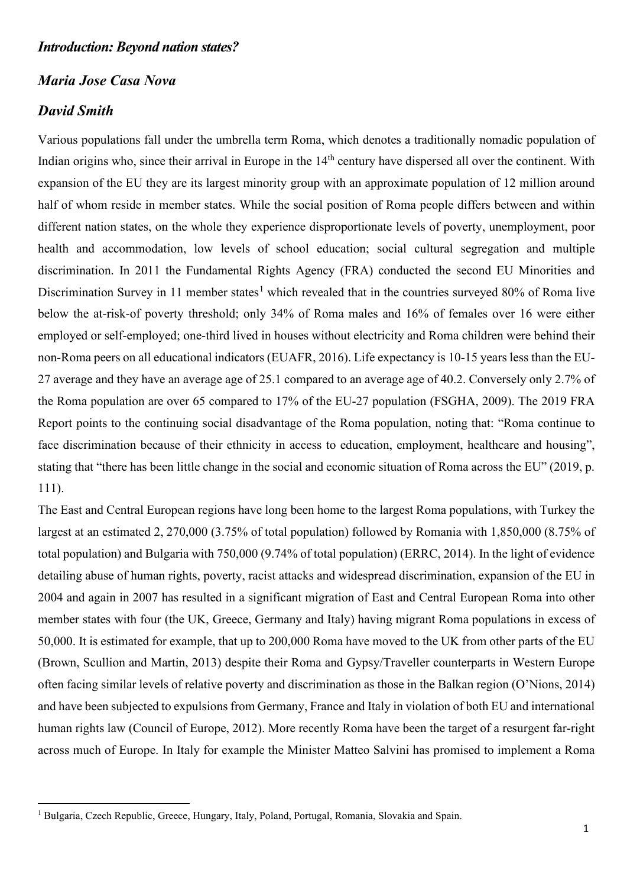## *Maria Jose Casa Nova*

# *David Smith*

Various populations fall under the umbrella term Roma, which denotes a traditionally nomadic population of Indian origins who, since their arrival in Europe in the 14<sup>th</sup> century have dispersed all over the continent. With expansion of the EU they are its largest minority group with an approximate population of 12 million around half of whom reside in member states. While the social position of Roma people differs between and within different nation states, on the whole they experience disproportionate levels of poverty, unemployment, poor health and accommodation, low levels of school education; social cultural segregation and multiple discrimination. In 2011 the Fundamental Rights Agency (FRA) conducted the second EU Minorities and Discrimination Survey in [1](#page-0-0)1 member states<sup>1</sup> which revealed that in the countries surveyed 80% of Roma live below the at-risk-of poverty threshold; only 34% of Roma males and 16% of females over 16 were either employed or self-employed; one-third lived in houses without electricity and Roma children were behind their non-Roma peers on all educational indicators (EUAFR, 2016). Life expectancy is 10-15 years less than the EU-27 average and they have an average age of 25.1 compared to an average age of 40.2. Conversely only 2.7% of the Roma population are over 65 compared to 17% of the EU-27 population (FSGHA, 2009). The 2019 FRA Report points to the continuing social disadvantage of the Roma population, noting that: "Roma continue to face discrimination because of their ethnicity in access to education, employment, healthcare and housing". stating that "there has been little change in the social and economic situation of Roma across the EU" (2019, p. 111).

The East and Central European regions have long been home to the largest Roma populations, with Turkey the largest at an estimated 2, 270,000 (3.75% of total population) followed by Romania with 1,850,000 (8.75% of total population) and Bulgaria with 750,000 (9.74% of total population) (ERRC, 2014). In the light of evidence detailing abuse of human rights, poverty, racist attacks and widespread discrimination, expansion of the EU in 2004 and again in 2007 has resulted in a significant migration of East and Central European Roma into other member states with four (the UK, Greece, Germany and Italy) having migrant Roma populations in excess of 50,000. It is estimated for example, that up to 200,000 Roma have moved to the UK from other parts of the EU (Brown, Scullion and Martin, 2013) despite their Roma and Gypsy/Traveller counterparts in Western Europe often facing similar levels of relative poverty and discrimination as those in the Balkan region (O'Nions, 2014) and have been subjected to expulsions from Germany, France and Italy in violation of both EU and international human rights law (Council of Europe, 2012). More recently Roma have been the target of a resurgent far-right across much of Europe. In Italy for example the Minister Matteo Salvini has promised to implement a Roma

<span id="page-0-0"></span><sup>&</sup>lt;sup>1</sup> Bulgaria, Czech Republic, Greece, Hungary, Italy, Poland, Portugal, Romania, Slovakia and Spain.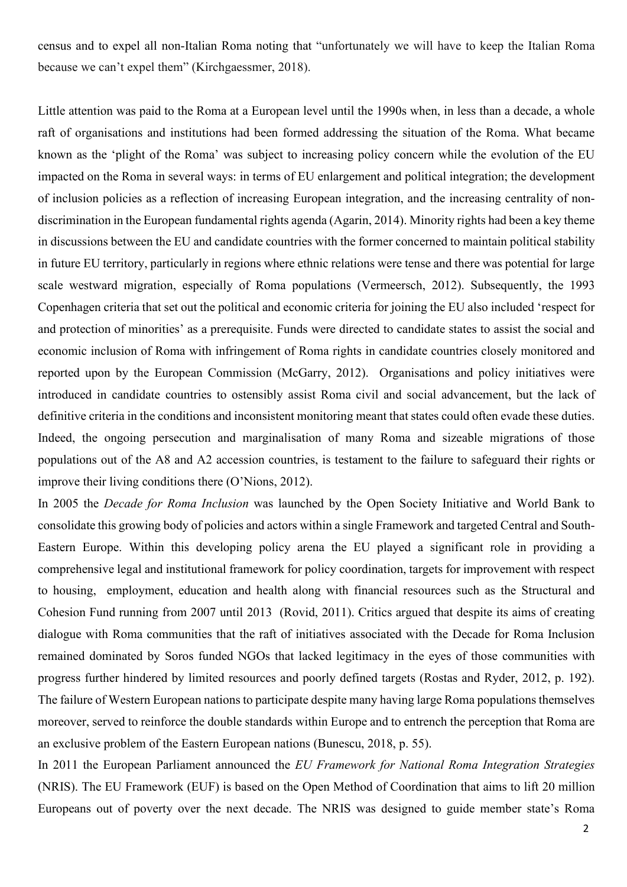census and to expel all non-Italian Roma noting that "unfortunately we will have to keep the Italian Roma because we can't expel them" (Kirchgaessmer, 2018).

Little attention was paid to the Roma at a European level until the 1990s when, in less than a decade, a whole raft of organisations and institutions had been formed addressing the situation of the Roma. What became known as the 'plight of the Roma' was subject to increasing policy concern while the evolution of the EU impacted on the Roma in several ways: in terms of EU enlargement and political integration; the development of inclusion policies as a reflection of increasing European integration, and the increasing centrality of nondiscrimination in the European fundamental rights agenda (Agarin, 2014). Minority rights had been a key theme in discussions between the EU and candidate countries with the former concerned to maintain political stability in future EU territory, particularly in regions where ethnic relations were tense and there was potential for large scale westward migration, especially of Roma populations (Vermeersch, 2012). Subsequently, the 1993 Copenhagen criteria that set out the political and economic criteria for joining the EU also included 'respect for and protection of minorities' as a prerequisite. Funds were directed to candidate states to assist the social and economic inclusion of Roma with infringement of Roma rights in candidate countries closely monitored and reported upon by the European Commission (McGarry, 2012). Organisations and policy initiatives were introduced in candidate countries to ostensibly assist Roma civil and social advancement, but the lack of definitive criteria in the conditions and inconsistent monitoring meant that states could often evade these duties. Indeed, the ongoing persecution and marginalisation of many Roma and sizeable migrations of those populations out of the A8 and A2 accession countries, is testament to the failure to safeguard their rights or improve their living conditions there (O'Nions, 2012).

In 2005 the *Decade for Roma Inclusion* was launched by the Open Society Initiative and World Bank to consolidate this growing body of policies and actors within a single Framework and targeted Central and South-Eastern Europe. Within this developing policy arena the EU played a significant role in providing a comprehensive legal and institutional framework for policy coordination, targets for improvement with respect to housing, employment, education and health along with financial resources such as the Structural and Cohesion Fund running from 2007 until 2013 (Rovid, 2011). Critics argued that despite its aims of creating dialogue with Roma communities that the raft of initiatives associated with the Decade for Roma Inclusion remained dominated by Soros funded NGOs that lacked legitimacy in the eyes of those communities with progress further hindered by limited resources and poorly defined targets (Rostas and Ryder, 2012, p. 192). The failure of Western European nations to participate despite many having large Roma populations themselves moreover, served to reinforce the double standards within Europe and to entrench the perception that Roma are an exclusive problem of the Eastern European nations (Bunescu, 2018, p. 55).

In 2011 the European Parliament announced the *EU Framework for National Roma Integration Strategies* (NRIS). The EU Framework (EUF) is based on the Open Method of Coordination that aims to lift 20 million Europeans out of poverty over the next decade. The NRIS was designed to guide member state's Roma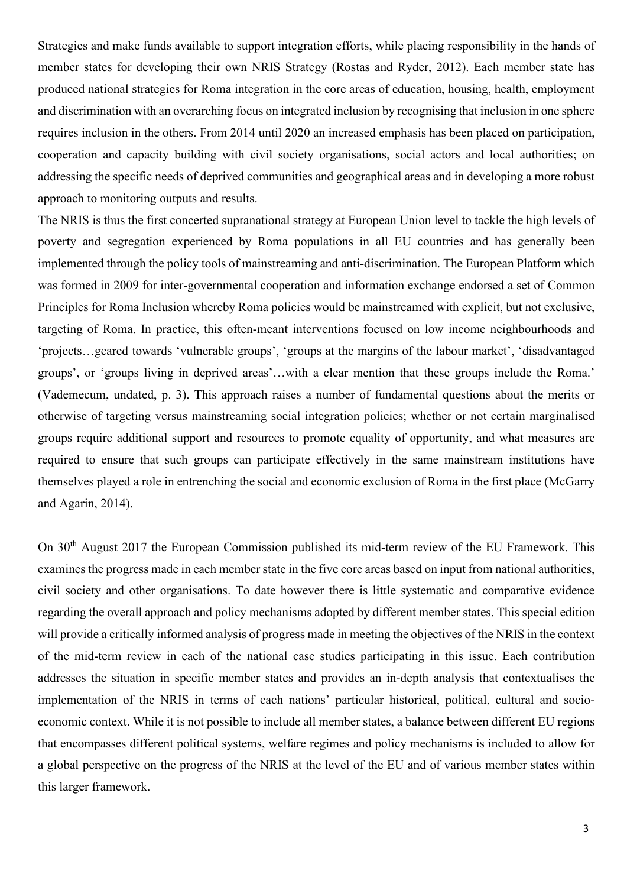Strategies and make funds available to support integration efforts, while placing responsibility in the hands of member states for developing their own NRIS Strategy (Rostas and Ryder, 2012). Each member state has produced national strategies for Roma integration in the core areas of education, housing, health, employment and discrimination with an overarching focus on integrated inclusion by recognising that inclusion in one sphere requires inclusion in the others. From 2014 until 2020 an increased emphasis has been placed on participation, cooperation and capacity building with civil society organisations, social actors and local authorities; on addressing the specific needs of deprived communities and geographical areas and in developing a more robust approach to monitoring outputs and results.

The NRIS is thus the first concerted supranational strategy at European Union level to tackle the high levels of poverty and segregation experienced by Roma populations in all EU countries and has generally been implemented through the policy tools of mainstreaming and anti-discrimination. The European Platform which was formed in 2009 for inter-governmental cooperation and information exchange endorsed a set of Common Principles for Roma Inclusion whereby Roma policies would be mainstreamed with explicit, but not exclusive, targeting of Roma. In practice, this often-meant interventions focused on low income neighbourhoods and 'projects…geared towards 'vulnerable groups', 'groups at the margins of the labour market', 'disadvantaged groups', or 'groups living in deprived areas'…with a clear mention that these groups include the Roma.' (Vademecum, undated, p. 3). This approach raises a number of fundamental questions about the merits or otherwise of targeting versus mainstreaming social integration policies; whether or not certain marginalised groups require additional support and resources to promote equality of opportunity, and what measures are required to ensure that such groups can participate effectively in the same mainstream institutions have themselves played a role in entrenching the social and economic exclusion of Roma in the first place (McGarry and Agarin, 2014).

On 30<sup>th</sup> August 2017 the European Commission published its mid-term review of the EU Framework. This examines the progress made in each member state in the five core areas based on input from national authorities, civil society and other organisations. To date however there is little systematic and comparative evidence regarding the overall approach and policy mechanisms adopted by different member states. This special edition will provide a critically informed analysis of progress made in meeting the objectives of the NRIS in the context of the mid-term review in each of the national case studies participating in this issue. Each contribution addresses the situation in specific member states and provides an in-depth analysis that contextualises the implementation of the NRIS in terms of each nations' particular historical, political, cultural and socioeconomic context. While it is not possible to include all member states, a balance between different EU regions that encompasses different political systems, welfare regimes and policy mechanisms is included to allow for a global perspective on the progress of the NRIS at the level of the EU and of various member states within this larger framework.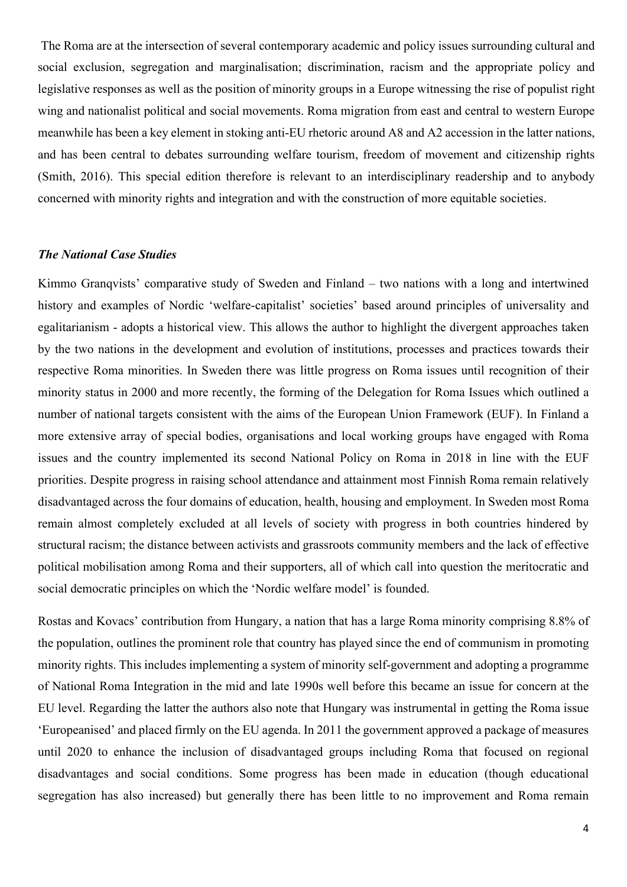The Roma are at the intersection of several contemporary academic and policy issues surrounding cultural and social exclusion, segregation and marginalisation; discrimination, racism and the appropriate policy and legislative responses as well as the position of minority groups in a Europe witnessing the rise of populist right wing and nationalist political and social movements. Roma migration from east and central to western Europe meanwhile has been a key element in stoking anti-EU rhetoric around A8 and A2 accession in the latter nations, and has been central to debates surrounding welfare tourism, freedom of movement and citizenship rights (Smith, 2016). This special edition therefore is relevant to an interdisciplinary readership and to anybody concerned with minority rights and integration and with the construction of more equitable societies.

### *The National Case Studies*

Kimmo Granqvists' comparative study of Sweden and Finland – two nations with a long and intertwined history and examples of Nordic 'welfare-capitalist' societies' based around principles of universality and egalitarianism - adopts a historical view. This allows the author to highlight the divergent approaches taken by the two nations in the development and evolution of institutions, processes and practices towards their respective Roma minorities. In Sweden there was little progress on Roma issues until recognition of their minority status in 2000 and more recently, the forming of the Delegation for Roma Issues which outlined a number of national targets consistent with the aims of the European Union Framework (EUF). In Finland a more extensive array of special bodies, organisations and local working groups have engaged with Roma issues and the country implemented its second National Policy on Roma in 2018 in line with the EUF priorities. Despite progress in raising school attendance and attainment most Finnish Roma remain relatively disadvantaged across the four domains of education, health, housing and employment. In Sweden most Roma remain almost completely excluded at all levels of society with progress in both countries hindered by structural racism; the distance between activists and grassroots community members and the lack of effective political mobilisation among Roma and their supporters, all of which call into question the meritocratic and social democratic principles on which the 'Nordic welfare model' is founded.

Rostas and Kovacs' contribution from Hungary, a nation that has a large Roma minority comprising 8.8% of the population, outlines the prominent role that country has played since the end of communism in promoting minority rights. This includes implementing a system of minority self-government and adopting a programme of National Roma Integration in the mid and late 1990s well before this became an issue for concern at the EU level. Regarding the latter the authors also note that Hungary was instrumental in getting the Roma issue 'Europeanised' and placed firmly on the EU agenda. In 2011 the government approved a package of measures until 2020 to enhance the inclusion of disadvantaged groups including Roma that focused on regional disadvantages and social conditions. Some progress has been made in education (though educational segregation has also increased) but generally there has been little to no improvement and Roma remain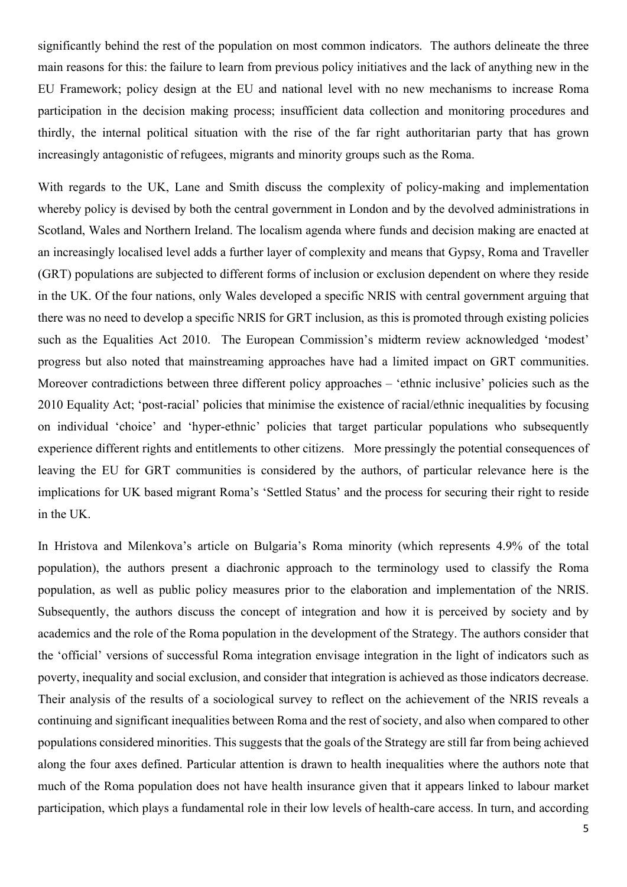significantly behind the rest of the population on most common indicators. The authors delineate the three main reasons for this: the failure to learn from previous policy initiatives and the lack of anything new in the EU Framework; policy design at the EU and national level with no new mechanisms to increase Roma participation in the decision making process; insufficient data collection and monitoring procedures and thirdly, the internal political situation with the rise of the far right authoritarian party that has grown increasingly antagonistic of refugees, migrants and minority groups such as the Roma.

With regards to the UK, Lane and Smith discuss the complexity of policy-making and implementation whereby policy is devised by both the central government in London and by the devolved administrations in Scotland, Wales and Northern Ireland. The localism agenda where funds and decision making are enacted at an increasingly localised level adds a further layer of complexity and means that Gypsy, Roma and Traveller (GRT) populations are subjected to different forms of inclusion or exclusion dependent on where they reside in the UK. Of the four nations, only Wales developed a specific NRIS with central government arguing that there was no need to develop a specific NRIS for GRT inclusion, as this is promoted through existing policies such as the Equalities Act 2010. The European Commission's midterm review acknowledged 'modest' progress but also noted that mainstreaming approaches have had a limited impact on GRT communities. Moreover contradictions between three different policy approaches – 'ethnic inclusive' policies such as the 2010 Equality Act; 'post-racial' policies that minimise the existence of racial/ethnic inequalities by focusing on individual 'choice' and 'hyper-ethnic' policies that target particular populations who subsequently experience different rights and entitlements to other citizens. More pressingly the potential consequences of leaving the EU for GRT communities is considered by the authors, of particular relevance here is the implications for UK based migrant Roma's 'Settled Status' and the process for securing their right to reside in the UK.

In Hristova and Milenkova's article on Bulgaria's Roma minority (which represents 4.9% of the total population), the authors present a diachronic approach to the terminology used to classify the Roma population, as well as public policy measures prior to the elaboration and implementation of the NRIS. Subsequently, the authors discuss the concept of integration and how it is perceived by society and by academics and the role of the Roma population in the development of the Strategy. The authors consider that the 'official' versions of successful Roma integration envisage integration in the light of indicators such as poverty, inequality and social exclusion, and consider that integration is achieved as those indicators decrease. Their analysis of the results of a sociological survey to reflect on the achievement of the NRIS reveals a continuing and significant inequalities between Roma and the rest of society, and also when compared to other populations considered minorities. This suggests that the goals of the Strategy are still far from being achieved along the four axes defined. Particular attention is drawn to health inequalities where the authors note that much of the Roma population does not have health insurance given that it appears linked to labour market participation, which plays a fundamental role in their low levels of health-care access. In turn, and according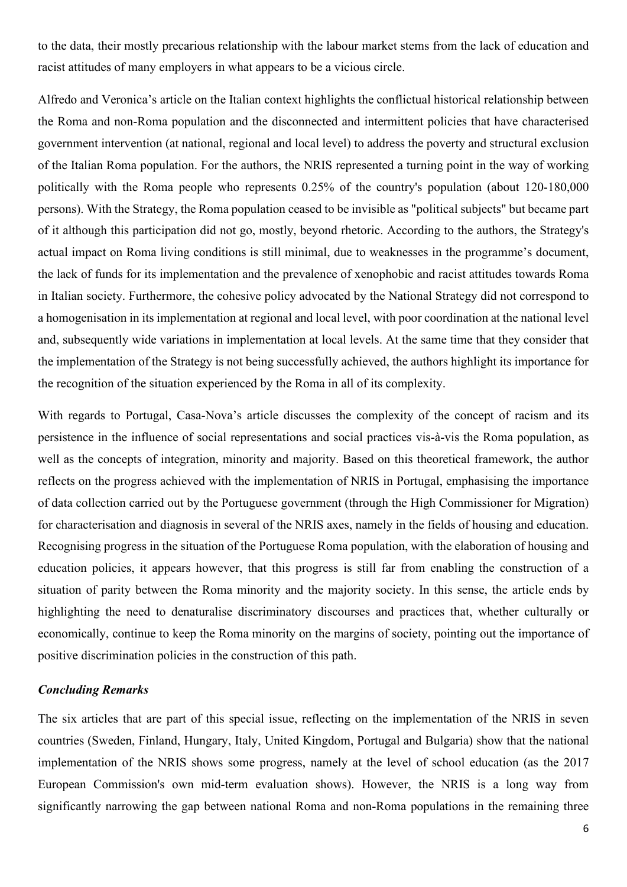to the data, their mostly precarious relationship with the labour market stems from the lack of education and racist attitudes of many employers in what appears to be a vicious circle.

Alfredo and Veronica's article on the Italian context highlights the conflictual historical relationship between the Roma and non-Roma population and the disconnected and intermittent policies that have characterised government intervention (at national, regional and local level) to address the poverty and structural exclusion of the Italian Roma population. For the authors, the NRIS represented a turning point in the way of working politically with the Roma people who represents 0.25% of the country's population (about 120-180,000 persons). With the Strategy, the Roma population ceased to be invisible as "political subjects" but became part of it although this participation did not go, mostly, beyond rhetoric. According to the authors, the Strategy's actual impact on Roma living conditions is still minimal, due to weaknesses in the programme's document, the lack of funds for its implementation and the prevalence of xenophobic and racist attitudes towards Roma in Italian society. Furthermore, the cohesive policy advocated by the National Strategy did not correspond to a homogenisation in its implementation at regional and local level, with poor coordination at the national level and, subsequently wide variations in implementation at local levels. At the same time that they consider that the implementation of the Strategy is not being successfully achieved, the authors highlight its importance for the recognition of the situation experienced by the Roma in all of its complexity.

With regards to Portugal, Casa-Nova's article discusses the complexity of the concept of racism and its persistence in the influence of social representations and social practices vis-à-vis the Roma population, as well as the concepts of integration, minority and majority. Based on this theoretical framework, the author reflects on the progress achieved with the implementation of NRIS in Portugal, emphasising the importance of data collection carried out by the Portuguese government (through the High Commissioner for Migration) for characterisation and diagnosis in several of the NRIS axes, namely in the fields of housing and education. Recognising progress in the situation of the Portuguese Roma population, with the elaboration of housing and education policies, it appears however, that this progress is still far from enabling the construction of a situation of parity between the Roma minority and the majority society. In this sense, the article ends by highlighting the need to denaturalise discriminatory discourses and practices that, whether culturally or economically, continue to keep the Roma minority on the margins of society, pointing out the importance of positive discrimination policies in the construction of this path.

### *Concluding Remarks*

The six articles that are part of this special issue, reflecting on the implementation of the NRIS in seven countries (Sweden, Finland, Hungary, Italy, United Kingdom, Portugal and Bulgaria) show that the national implementation of the NRIS shows some progress, namely at the level of school education (as the 2017 European Commission's own mid-term evaluation shows). However, the NRIS is a long way from significantly narrowing the gap between national Roma and non-Roma populations in the remaining three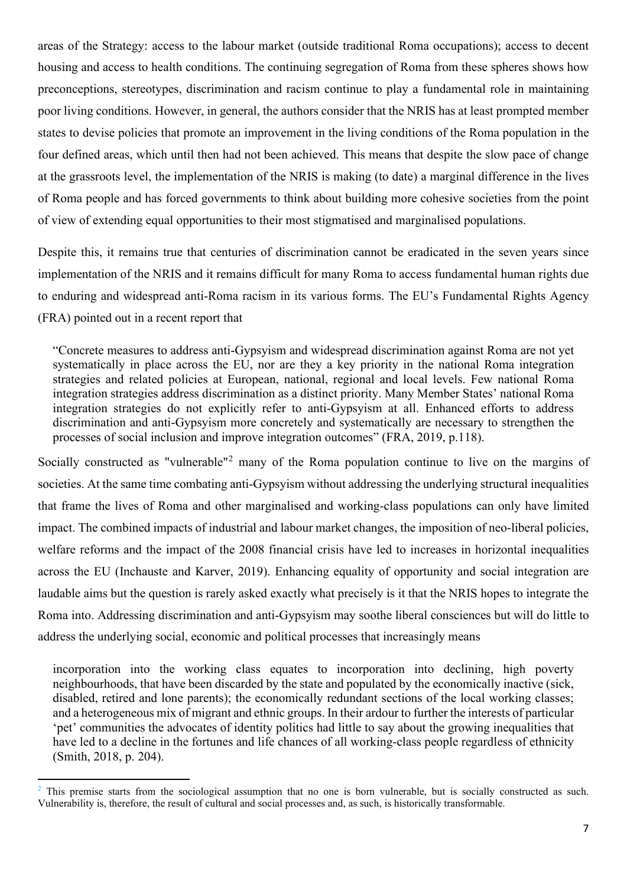areas of the Strategy: access to the labour market (outside traditional Roma occupations); access to decent housing and access to health conditions. The continuing segregation of Roma from these spheres shows how preconceptions, stereotypes, discrimination and racism continue to play a fundamental role in maintaining poor living conditions. However, in general, the authors consider that the NRIS has at least prompted member states to devise policies that promote an improvement in the living conditions of the Roma population in the four defined areas, which until then had not been achieved. This means that despite the slow pace of change at the grassroots level, the implementation of the NRIS is making (to date) a marginal difference in the lives of Roma people and has forced governments to think about building more cohesive societies from the point of view of extending equal opportunities to their most stigmatised and marginalised populations.

Despite this, it remains true that centuries of discrimination cannot be eradicated in the seven years since implementation of the NRIS and it remains difficult for many Roma to access fundamental human rights due to enduring and widespread anti-Roma racism in its various forms. The EU's Fundamental Rights Agency (FRA) pointed out in a recent report that

"Concrete measures to address anti-Gypsyism and widespread discrimination against Roma are not yet systematically in place across the EU, nor are they a key priority in the national Roma integration strategies and related policies at European, national, regional and local levels. Few national Roma integration strategies address discrimination as a distinct priority. Many Member States' national Roma integration strategies do not explicitly refer to anti-Gypsyism at all. Enhanced efforts to address discrimination and anti-Gypsyism more concretely and systematically are necessary to strengthen the processes of social inclusion and improve integration outcomes" (FRA, 2019, p.118).

Socially constructed as "vulnerable"<sup>[2](#page-6-0)</sup> many of the Roma population continue to live on the margins of societies. At the same time combating anti-Gypsyism without addressing the underlying structural inequalities that frame the lives of Roma and other marginalised and working-class populations can only have limited impact. The combined impacts of industrial and labour market changes, the imposition of neo-liberal policies, welfare reforms and the impact of the 2008 financial crisis have led to increases in horizontal inequalities across the EU (Inchauste and Karver, 2019). Enhancing equality of opportunity and social integration are laudable aims but the question is rarely asked exactly what precisely is it that the NRIS hopes to integrate the Roma into. Addressing discrimination and anti-Gypsyism may soothe liberal consciences but will do little to address the underlying social, economic and political processes that increasingly means

incorporation into the working class equates to incorporation into declining, high poverty neighbourhoods, that have been discarded by the state and populated by the economically inactive (sick, disabled, retired and lone parents); the economically redundant sections of the local working classes; and a heterogeneous mix of migrant and ethnic groups. In their ardour to further the interests of particular 'pet' communities the advocates of identity politics had little to say about the growing inequalities that have led to a decline in the fortunes and life chances of all working-class people regardless of ethnicity (Smith, 2018, p. 204).

<span id="page-6-0"></span> $2$  This premise starts from the sociological assumption that no one is born vulnerable, but is socially constructed as such. Vulnerability is, therefore, the result of cultural and social processes and, as such, is historically transformable.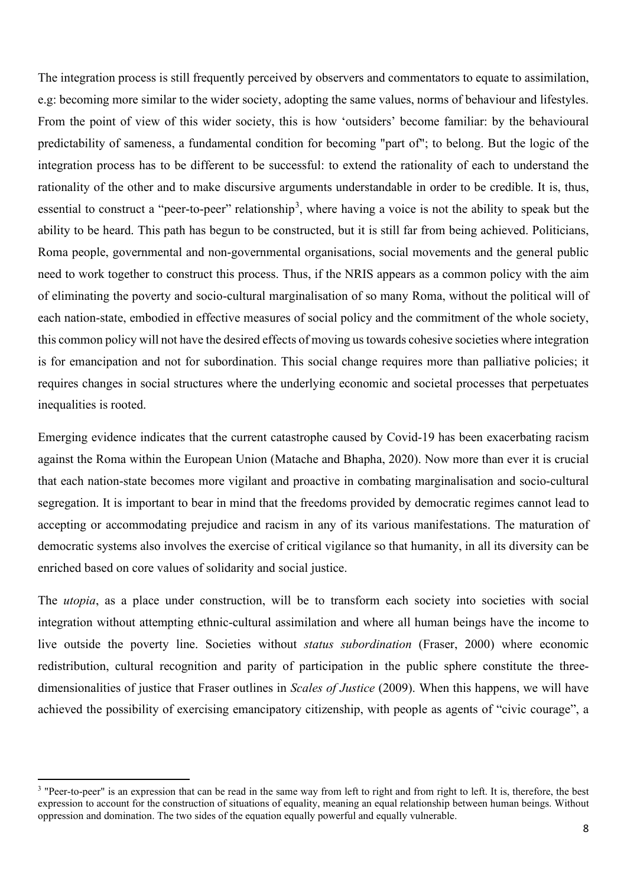The integration process is still frequently perceived by observers and commentators to equate to assimilation, e.g: becoming more similar to the wider society, adopting the same values, norms of behaviour and lifestyles. From the point of view of this wider society, this is how 'outsiders' become familiar: by the behavioural predictability of sameness, a fundamental condition for becoming "part of"; to belong. But the logic of the integration process has to be different to be successful: to extend the rationality of each to understand the rationality of the other and to make discursive arguments understandable in order to be credible. It is, thus, essential to construct a "peer-to-peer" relationship<sup>[3](#page-7-0)</sup>, where having a voice is not the ability to speak but the ability to be heard. This path has begun to be constructed, but it is still far from being achieved. Politicians, Roma people, governmental and non-governmental organisations, social movements and the general public need to work together to construct this process. Thus, if the NRIS appears as a common policy with the aim of eliminating the poverty and socio-cultural marginalisation of so many Roma, without the political will of each nation-state, embodied in effective measures of social policy and the commitment of the whole society, this common policy will not have the desired effects of moving us towards cohesive societies where integration is for emancipation and not for subordination. This social change requires more than palliative policies; it requires changes in social structures where the underlying economic and societal processes that perpetuates inequalities is rooted.

Emerging evidence indicates that the current catastrophe caused by Covid-19 has been exacerbating racism against the Roma within the European Union (Matache and Bhapha, 2020). Now more than ever it is crucial that each nation-state becomes more vigilant and proactive in combating marginalisation and socio-cultural segregation. It is important to bear in mind that the freedoms provided by democratic regimes cannot lead to accepting or accommodating prejudice and racism in any of its various manifestations. The maturation of democratic systems also involves the exercise of critical vigilance so that humanity, in all its diversity can be enriched based on core values of solidarity and social justice.

The *utopia*, as a place under construction, will be to transform each society into societies with social integration without attempting ethnic-cultural assimilation and where all human beings have the income to live outside the poverty line. Societies without *status subordination* (Fraser, 2000) where economic redistribution, cultural recognition and parity of participation in the public sphere constitute the threedimensionalities of justice that Fraser outlines in *Scales of Justice* (2009). When this happens, we will have achieved the possibility of exercising emancipatory citizenship, with people as agents of "civic courage", a

<span id="page-7-0"></span><sup>&</sup>lt;sup>3</sup> "Peer-to-peer" is an expression that can be read in the same way from left to right and from right to left. It is, therefore, the best expression to account for the construction of situations of equality, meaning an equal relationship between human beings. Without oppression and domination. The two sides of the equation equally powerful and equally vulnerable.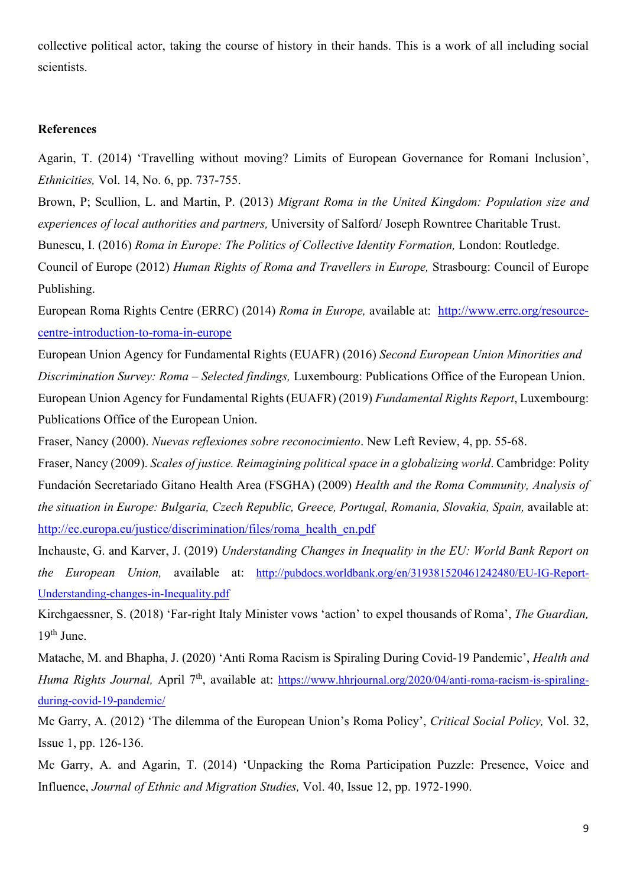collective political actor, taking the course of history in their hands. This is a work of all including social scientists.

#### **References**

Agarin, T. (2014) 'Travelling without moving? Limits of European Governance for Romani Inclusion', *Ethnicities,* Vol. 14, No. 6, pp. 737-755.

Brown, P; Scullion, L. and Martin, P. (2013) *Migrant Roma in the United Kingdom: Population size and experiences of local authorities and partners,* University of Salford/ Joseph Rowntree Charitable Trust. Bunescu, I. (2016) *Roma in Europe: The Politics of Collective Identity Formation,* London: Routledge.

Council of Europe (2012) *Human Rights of Roma and Travellers in Europe,* Strasbourg: Council of Europe Publishing.

European Roma Rights Centre (ERRC) (2014) *Roma in Europe,* available at: [http://www.errc.org/resource](http://www.errc.org/resource-centre-introduction-to-roma-in-europe)[centre-introduction-to-roma-in-europe](http://www.errc.org/resource-centre-introduction-to-roma-in-europe)

European Union Agency for Fundamental Rights (EUAFR) (2016) *Second European Union Minorities and Discrimination Survey: Roma – Selected findings,* Luxembourg: Publications Office of the European Union. European Union Agency for Fundamental Rights (EUAFR) (2019) *Fundamental Rights Report*, Luxembourg: Publications Office of the European Union.

Fraser, Nancy (2000). *Nuevas reflexiones sobre reconocimiento*. New Left Review, 4, pp. 55-68.

Fraser, Nancy (2009). *Scales of justice. Reimagining political space in a globalizing world*. Cambridge: Polity Fundación Secretariado Gitano Health Area (FSGHA) (2009) *Health and the Roma Community, Analysis of the situation in Europe: Bulgaria, Czech Republic, Greece, Portugal, Romania, Slovakia, Spain,* available at: [http://ec.europa.eu/justice/discrimination/files/roma\\_health\\_en.pdf](http://ec.europa.eu/justice/discrimination/files/roma_health_en.pdf)

Inchauste, G. and Karver, J. (2019) *Understanding Changes in Inequality in the EU: World Bank Report on the European Union,* available at: [http://pubdocs.worldbank.org/en/319381520461242480/EU-IG-Report-](http://pubdocs.worldbank.org/en/319381520461242480/EU-IG-Report-Understanding-changes-in-Inequality.pdf)[Understanding-changes-in-Inequality.pdf](http://pubdocs.worldbank.org/en/319381520461242480/EU-IG-Report-Understanding-changes-in-Inequality.pdf)

Kirchgaessner, S. (2018) 'Far-right Italy Minister vows 'action' to expel thousands of Roma', *The Guardian,*   $19<sup>th</sup>$  June.

Matache, M. and Bhapha, J. (2020) 'Anti Roma Racism is Spiraling During Covid-19 Pandemic', *Health and Huma Rights Journal, April* 7<sup>th</sup>, available at: [https://www.hhrjournal.org/2020/04/anti-roma-racism-is-spiraling](https://www.hhrjournal.org/2020/04/anti-roma-racism-is-spiraling-during-covid-19-pandemic/)[during-covid-19-pandemic/](https://www.hhrjournal.org/2020/04/anti-roma-racism-is-spiraling-during-covid-19-pandemic/)

Mc Garry, A. (2012) 'The dilemma of the European Union's Roma Policy', *Critical Social Policy,* Vol. 32, Issue 1, pp. 126-136.

Mc Garry, A. and Agarin, T. (2014) 'Unpacking the Roma Participation Puzzle: Presence, Voice and Influence, *Journal of Ethnic and Migration Studies,* Vol. 40, Issue 12, pp. 1972-1990.